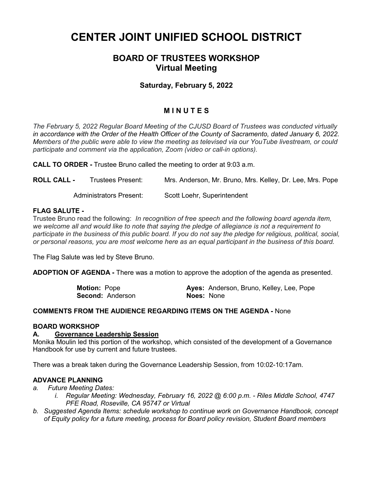# **CENTER JOINT UNIFIED SCHOOL DISTRICT**

# **BOARD OF TRUSTEES WORKSHOP Virtual Meeting**

## **Saturday, February 5, 2022**

# **M I N U T E S**

*The February 5, 2022 Regular Board Meeting of the CJUSD Board of Trustees was conducted virtually in accordance with the Order of the Health Officer of the County of Sacramento, dated January 6, 2022. Members of the public were able to view the meeting as televised via our YouTube livestream, or could participate and comment via the application, Zoom (video or call-in options).*

**CALL TO ORDER -** Trustee Bruno called the meeting to order at 9:03 a.m.

**ROLL CALL -** Trustees Present: Mrs. Anderson, Mr. Bruno, Mrs. Kelley, Dr. Lee, Mrs. Pope

Administrators Present: Scott Loehr, Superintendent

#### **FLAG SALUTE -**

Trustee Bruno read the following: *In recognition of free speech and the following board agenda item, we welcome all and would like to note that saying the pledge of allegiance is not a requirement to participate in the business of this public board. If you do not say the pledge for religious, political, social, or personal reasons, you are most welcome here as an equal participant in the business of this board.*

The Flag Salute was led by Steve Bruno.

**ADOPTION OF AGENDA -** There was a motion to approve the adoption of the agenda as presented.

**Motion:** Pope **Ayes:** Anderson, Bruno, Kelley, Lee, Pope **Second:** Anderson **Noes:** None

#### **COMMENTS FROM THE AUDIENCE REGARDING ITEMS ON THE AGENDA -** None

#### **BOARD WORKSHOP**

#### **A. Governance Leadership Session**

Monika Moulin led this portion of the workshop, which consisted of the development of a Governance Handbook for use by current and future trustees.

There was a break taken during the Governance Leadership Session, from 10:02-10:17am.

#### **ADVANCE PLANNING**

- *a. Future Meeting Dates:*
	- *i. Regular Meeting: Wednesday, February 16, 2022 @ 6:00 p.m. - Riles Middle School, 4747 PFE Road, Roseville, CA 95747 or Virtual*
- *b. Suggested Agenda Items: schedule workshop to continue work on Governance Handbook, concept of Equity policy for a future meeting, process for Board policy revision, Student Board members*